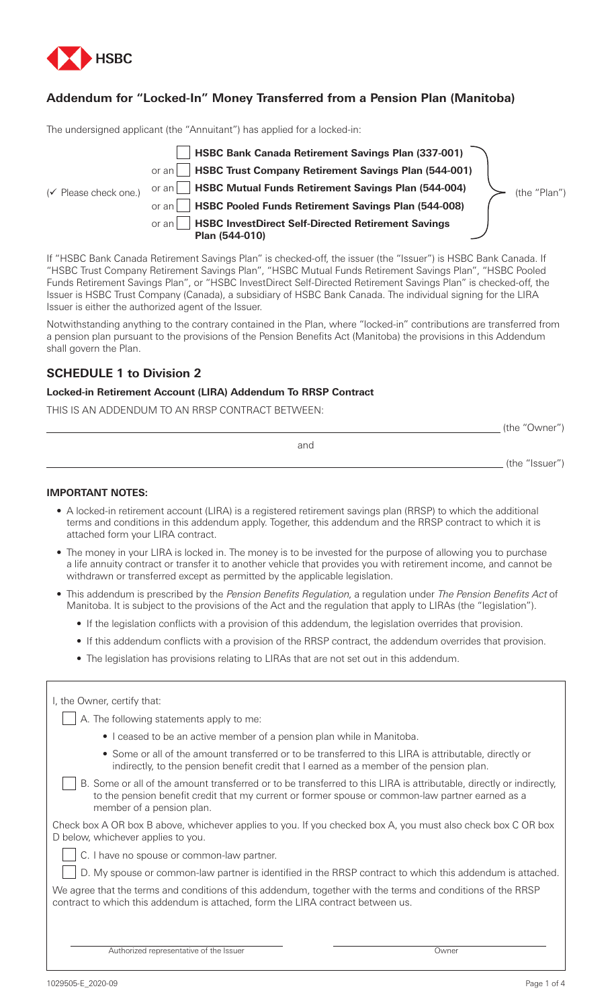

# **Addendum for "Locked-In" Money Transferred from a Pension Plan (Manitoba)**

The undersigned applicant (the "Annuitant") has applied for a locked-in:



If "HSBC Bank Canada Retirement Savings Plan" is checked-off, the issuer (the "Issuer") is HSBC Bank Canada. If "HSBC Trust Company Retirement Savings Plan", "HSBC Mutual Funds Retirement Savings Plan", "HSBC Pooled Funds Retirement Savings Plan", or "HSBC InvestDirect Self-Directed Retirement Savings Plan" is checked-off, the Issuer is HSBC Trust Company (Canada), a subsidiary of HSBC Bank Canada. The individual signing for the LIRA Issuer is either the authorized agent of the Issuer.

Notwithstanding anything to the contrary contained in the Plan, where "locked-in" contributions are transferred from a pension plan pursuant to the provisions of the Pension Benefits Act (Manitoba) the provisions in this Addendum shall govern the Plan.

# **SCHEDULE 1 to Division 2**

### **Locked-in Retirement Account (LIRA) Addendum To RRSP Contract**

THIS IS AN ADDENDUM TO AN RRSP CONTRACT BETWEEN:

|     | (the "Owner")  |  |
|-----|----------------|--|
| and |                |  |
|     | (the "Issuer") |  |

## **IMPORTANT NOTES:**

- A locked-in retirement account (LIRA) is a registered retirement savings plan (RRSP) to which the additional terms and conditions in this addendum apply. Together, this addendum and the RRSP contract to which it is attached form your LIRA contract.
- The money in your LIRA is locked in. The money is to be invested for the purpose of allowing you to purchase a life annuity contract or transfer it to another vehicle that provides you with retirement income, and cannot be withdrawn or transferred except as permitted by the applicable legislation.
- This addendum is prescribed by the Pension Benefits Regulation, a regulation under The Pension Benefits Act of Manitoba. It is subject to the provisions of the Act and the regulation that apply to LIRAs (the "legislation").
	- If the legislation conflicts with a provision of this addendum, the legislation overrides that provision.
	- If this addendum conflicts with a provision of the RRSP contract, the addendum overrides that provision.
	- The legislation has provisions relating to LIRAs that are not set out in this addendum.

| I, the Owner, certify that:                                                                                                                                                                                                                          |
|------------------------------------------------------------------------------------------------------------------------------------------------------------------------------------------------------------------------------------------------------|
| A. The following statements apply to me:                                                                                                                                                                                                             |
| • I ceased to be an active member of a pension plan while in Manitoba.                                                                                                                                                                               |
| • Some or all of the amount transferred or to be transferred to this LIRA is attributable, directly or<br>indirectly, to the pension benefit credit that I earned as a member of the pension plan.                                                   |
| B. Some or all of the amount transferred or to be transferred to this LIRA is attributable, directly or indirectly,<br>to the pension benefit credit that my current or former spouse or common-law partner earned as a<br>member of a pension plan. |
| Check box A OR box B above, whichever applies to you. If you checked box A, you must also check box C OR box<br>D below, whichever applies to you.                                                                                                   |
| C. I have no spouse or common-law partner.                                                                                                                                                                                                           |
| D. My spouse or common-law partner is identified in the RRSP contract to which this addendum is attached.                                                                                                                                            |
| We agree that the terms and conditions of this addendum, together with the terms and conditions of the RRSP<br>contract to which this addendum is attached, form the LIRA contract between us.                                                       |
| Authorized representative of the Issuer<br>Owner                                                                                                                                                                                                     |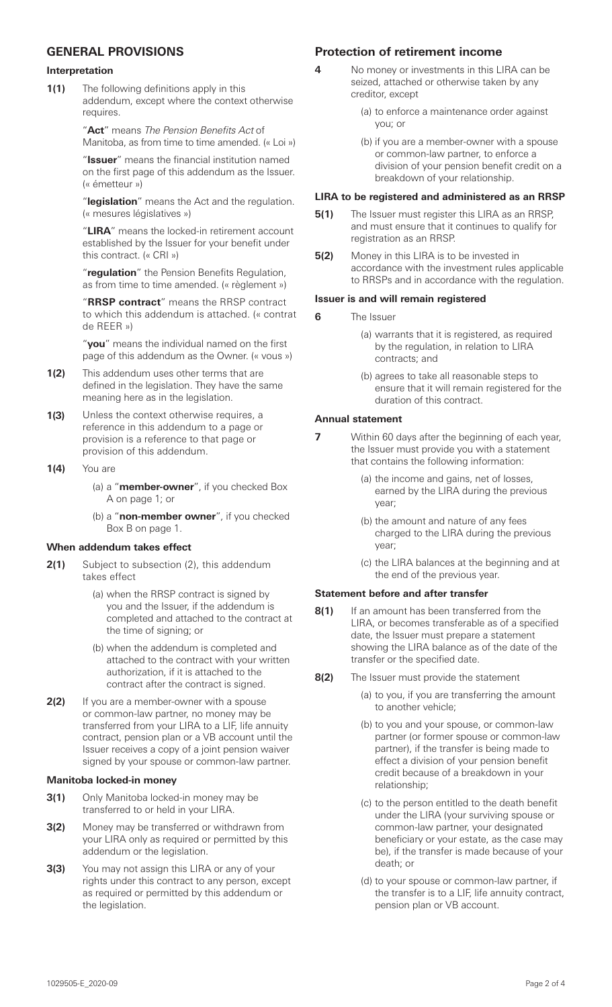# **GENERAL PROVISIONS**

#### **Interpretation**

**1(1)** The following definitions apply in this addendum, except where the context otherwise requires.

> "**Act**" means The Pension Benefits Act of Manitoba, as from time to time amended. (« Loi »)

> "**Issuer**" means the financial institution named on the first page of this addendum as the Issuer. (« émetteur »)

> "**legislation**" means the Act and the regulation. (« mesures législatives »)

> "**LIRA**" means the locked-in retirement account established by the Issuer for your benefit under this contract. (« CRI »)

"**regulation**" the Pension Benefits Regulation, as from time to time amended. (« règlement »)

"**RRSP contract**" means the RRSP contract to which this addendum is attached. (« contrat de REER »)

"**you**" means the individual named on the first page of this addendum as the Owner. (« vous »)

- **1(2)** This addendum uses other terms that are defined in the legislation. They have the same meaning here as in the legislation.
- **1(3)** Unless the context otherwise requires, a reference in this addendum to a page or provision is a reference to that page or provision of this addendum.
- **1(4)** You are
	- (a) a "**member-owner**", if you checked Box A on page 1; or
	- (b) a "**non-member owner**", if you checked Box B on page 1.

### **When addendum takes effect**

- **2(1)** Subject to subsection (2), this addendum takes effect
	- (a) when the RRSP contract is signed by you and the Issuer, if the addendum is completed and attached to the contract at the time of signing; or
	- (b) when the addendum is completed and attached to the contract with your written authorization, if it is attached to the contract after the contract is signed.
- **2(2)** If you are a member-owner with a spouse or common-law partner, no money may be transferred from your LIRA to a LIF, life annuity contract, pension plan or a VB account until the Issuer receives a copy of a joint pension waiver signed by your spouse or common-law partner.

### **Manitoba locked-in money**

- **3(1)** Only Manitoba locked-in money may be transferred to or held in your LIRA.
- **3(2)** Money may be transferred or withdrawn from your LIRA only as required or permitted by this addendum or the legislation.
- **3(3)** You may not assign this LIRA or any of your rights under this contract to any person, except as required or permitted by this addendum or the legislation.

## **Protection of retirement income**

- **4** No money or investments in this LIRA can be seized, attached or otherwise taken by any creditor, except
	- (a) to enforce a maintenance order against you; or
	- (b) if you are a member-owner with a spouse or common-law partner, to enforce a division of your pension benefit credit on a breakdown of your relationship.

#### **LIRA to be registered and administered as an RRSP**

- **5(1)** The Issuer must register this LIRA as an RRSP, and must ensure that it continues to qualify for registration as an RRSP.
- **5(2)** Money in this LIRA is to be invested in accordance with the investment rules applicable to RRSPs and in accordance with the regulation.

#### **Issuer is and will remain registered**

- **6** The Issuer
	- (a) warrants that it is registered, as required by the regulation, in relation to LIRA contracts; and
	- (b) agrees to take all reasonable steps to ensure that it will remain registered for the duration of this contract.

#### **Annual statement**

- **7** Within 60 days after the beginning of each year, the Issuer must provide you with a statement that contains the following information:
	- (a) the income and gains, net of losses, earned by the LIRA during the previous year;
	- (b) the amount and nature of any fees charged to the LIRA during the previous year;
	- (c) the LIRA balances at the beginning and at the end of the previous year.

### **Statement before and after transfer**

- **8(1)** If an amount has been transferred from the LIRA, or becomes transferable as of a specified date, the Issuer must prepare a statement showing the LIRA balance as of the date of the transfer or the specified date.
- **8(2)** The Issuer must provide the statement
	- (a) to you, if you are transferring the amount to another vehicle;
	- (b) to you and your spouse, or common-law partner (or former spouse or common-law partner), if the transfer is being made to effect a division of your pension benefit credit because of a breakdown in your relationship;
	- (c) to the person entitled to the death benefit under the LIRA (your surviving spouse or common-law partner, your designated beneficiary or your estate, as the case may be), if the transfer is made because of your death; or
	- (d) to your spouse or common-law partner, if the transfer is to a LIF, life annuity contract, pension plan or VB account.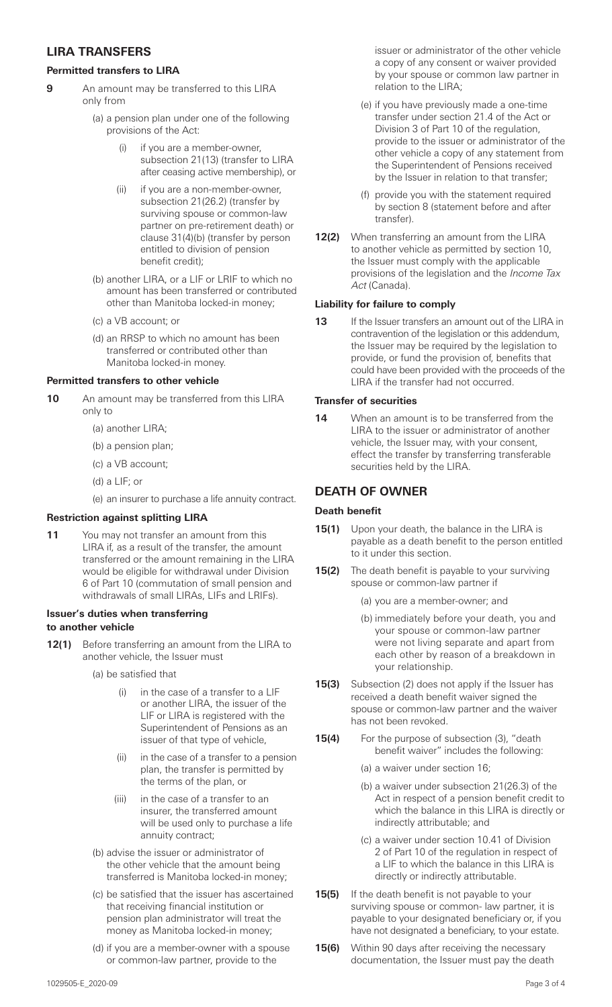## **LIRA TRANSFERS**

### **Permitted transfers to LIRA**

- **9** An amount may be transferred to this LIRA only from
	- (a) a pension plan under one of the following provisions of the Act:
		- if you are a member-owner, subsection 21(13) (transfer to LIRA after ceasing active membership), or
		- (ii) if you are a non-member-owner, subsection 21(26.2) (transfer by surviving spouse or common-law partner on pre-retirement death) or clause 31(4)(b) (transfer by person entitled to division of pension benefit credit);
	- (b) another LIRA, or a LIF or LRIF to which no amount has been transferred or contributed other than Manitoba locked-in money;
	- (c) a VB account; or
	- (d) an RRSP to which no amount has been transferred or contributed other than Manitoba locked-in money.

## **Permitted transfers to other vehicle**

- **10** An amount may be transferred from this LIRA only to
	- (a) another LIRA;
	- (b) a pension plan;
	- (c) a VB account;
	- (d) a LIF; or
	- (e) an insurer to purchase a life annuity contract.

# **Restriction against splitting LIRA**

**11** You may not transfer an amount from this LIRA if, as a result of the transfer, the amount transferred or the amount remaining in the LIRA would be eligible for withdrawal under Division 6 of Part 10 (commutation of small pension and withdrawals of small LIRAs, LIFs and LRIFs).

## **Issuer's duties when transferring to another vehicle**

- **12(1)** Before transferring an amount from the LIRA to another vehicle, the Issuer must
	- (a) be satisfied that
		- in the case of a transfer to a LIF or another LIRA, the issuer of the LIF or LIRA is registered with the Superintendent of Pensions as an issuer of that type of vehicle,
		- (ii) in the case of a transfer to a pension plan, the transfer is permitted by the terms of the plan, or
		- (iii) in the case of a transfer to an insurer, the transferred amount will be used only to purchase a life annuity contract;
	- (b) advise the issuer or administrator of the other vehicle that the amount being transferred is Manitoba locked-in money;
	- (c) be satisfied that the issuer has ascertained that receiving financial institution or pension plan administrator will treat the money as Manitoba locked-in money;
	- (d) if you are a member-owner with a spouse or common-law partner, provide to the

issuer or administrator of the other vehicle a copy of any consent or waiver provided by your spouse or common law partner in relation to the LIRA;

- (e) if you have previously made a one-time transfer under section 21.4 of the Act or Division 3 of Part 10 of the regulation, provide to the issuer or administrator of the other vehicle a copy of any statement from the Superintendent of Pensions received by the Issuer in relation to that transfer;
- (f) provide you with the statement required by section 8 (statement before and after transfer).
- **12(2)** When transferring an amount from the LIRA to another vehicle as permitted by section 10, the Issuer must comply with the applicable provisions of the legislation and the Income Tax Act (Canada).

## **Liability for failure to comply**

**13** If the Issuer transfers an amount out of the LIRA in contravention of the legislation or this addendum, the Issuer may be required by the legislation to provide, or fund the provision of, benefits that could have been provided with the proceeds of the LIRA if the transfer had not occurred.

## **Transfer of securities**

**14** When an amount is to be transferred from the LIRA to the issuer or administrator of another vehicle, the Issuer may, with your consent, effect the transfer by transferring transferable securities held by the LIRA.

# **DEATH OF OWNER**

### **Death benefit**

- **15(1)** Upon your death, the balance in the LIRA is payable as a death benefit to the person entitled to it under this section.
- **15(2)** The death benefit is payable to your surviving spouse or common-law partner if
	- (a) you are a member-owner; and
	- (b) immediately before your death, you and your spouse or common-law partner were not living separate and apart from each other by reason of a breakdown in your relationship.
- **15(3)** Subsection (2) does not apply if the Issuer has received a death benefit waiver signed the spouse or common-law partner and the waiver has not been revoked.
- **15(4)** For the purpose of subsection (3), "death benefit waiver" includes the following:
	- (a) a waiver under section 16;
	- (b) a waiver under subsection 21(26.3) of the Act in respect of a pension benefit credit to which the balance in this LIRA is directly or indirectly attributable; and
	- (c) a waiver under section 10.41 of Division 2 of Part 10 of the regulation in respect of a LIF to which the balance in this LIRA is directly or indirectly attributable.
- **15(5)** If the death benefit is not payable to your surviving spouse or common- law partner, it is payable to your designated beneficiary or, if you have not designated a beneficiary, to your estate.
- **15(6)** Within 90 days after receiving the necessary documentation, the Issuer must pay the death